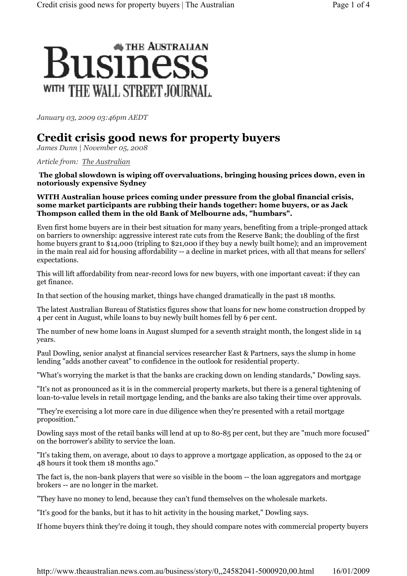## **\* THE AUSTRALIAN** susiness WITH THE WALL STREET JOURNAL.

January 03, 2009 03:46pm AEDT

## Credit crisis good news for property buyers

James Dunn | November 05, 2008

Article from: The Australian

The global slowdown is wiping off overvaluations, bringing housing prices down, even in notoriously expensive Sydney

## WITH Australian house prices coming under pressure from the global financial crisis, some market participants are rubbing their hands together: home buyers, or as Jack Thompson called them in the old Bank of Melbourne ads, "humbars".

Even first home buyers are in their best situation for many years, benefiting from a triple-pronged attack on barriers to ownership: aggressive interest rate cuts from the Reserve Bank; the doubling of the first home buyers grant to \$14,000 (tripling to \$21,000 if they buy a newly built home); and an improvement in the main real aid for housing affordability -- a decline in market prices, with all that means for sellers' expectations.

This will lift affordability from near-record lows for new buyers, with one important caveat: if they can get finance.

In that section of the housing market, things have changed dramatically in the past 18 months.

The latest Australian Bureau of Statistics figures show that loans for new home construction dropped by 4 per cent in August, while loans to buy newly built homes fell by 6 per cent.

The number of new home loans in August slumped for a seventh straight month, the longest slide in 14 years.

Paul Dowling, senior analyst at financial services researcher East & Partners, says the slump in home lending "adds another caveat" to confidence in the outlook for residential property.

"What's worrying the market is that the banks are cracking down on lending standards," Dowling says.

"It's not as pronounced as it is in the commercial property markets, but there is a general tightening of loan-to-value levels in retail mortgage lending, and the banks are also taking their time over approvals.

"They're exercising a lot more care in due diligence when they're presented with a retail mortgage proposition."

Dowling says most of the retail banks will lend at up to 80-85 per cent, but they are "much more focused" on the borrower's ability to service the loan.

"It's taking them, on average, about 10 days to approve a mortgage application, as opposed to the 24 or 48 hours it took them 18 months ago."

The fact is, the non-bank players that were so visible in the boom -- the loan aggregators and mortgage brokers -- are no longer in the market.

"They have no money to lend, because they can't fund themselves on the wholesale markets.

"It's good for the banks, but it has to hit activity in the housing market," Dowling says.

If home buyers think they're doing it tough, they should compare notes with commercial property buyers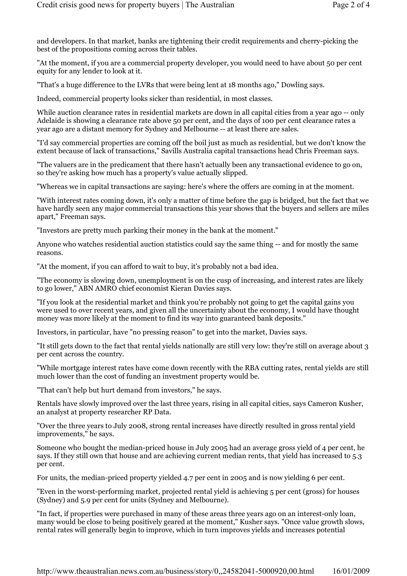and developers. In that market, banks are tightening their credit requirements and cherry-picking the best of the propositions coming across their tables.

"At the moment, if you are a commercial property developer, you would need to have about 50 per cent equity for any lender to look at it.

"That's a huge difference to the LVRs that were being lent at 18 months ago," Dowling says.

Indeed, commercial property looks sicker than residential, in most classes.

While auction clearance rates in residential markets are down in all capital cities from a year ago -- only Adelaide is showing a clearance rate above 50 per cent, and the days of 100 per cent clearance rates a year ago are a distant memory for Sydney and Melbourne -- at least there are sales.

"I'd say commercial properties are coming off the boil just as much as residential, but we don't know the extent because of lack of transactions," Savills Australia capital transactions head Chris Freeman says.

"The valuers are in the predicament that there hasn't actually been any transactional evidence to go on, so they're asking how much has a property's value actually slipped.

"Whereas we in capital transactions are saying: here's where the offers are coming in at the moment.

"With interest rates coming down, it's only a matter of time before the gap is bridged, but the fact that we have hardly seen any major commercial transactions this year shows that the buyers and sellers are miles apart," Freeman says.

"Investors are pretty much parking their money in the bank at the moment."

Anyone who watches residential auction statistics could say the same thing -- and for mostly the same reasons.

"At the moment, if you can afford to wait to buy, it's probably not a bad idea.

"The economy is slowing down, unemployment is on the cusp of increasing, and interest rates are likely to go lower," ABN AMRO chief economist Kieran Davies says.

"If you look at the residential market and think you're probably not going to get the capital gains you were used to over recent years, and given all the uncertainty about the economy, I would have thought money was more likely at the moment to find its way into guaranteed bank deposits."

Investors, in particular, have "no pressing reason" to get into the market, Davies says.

"It still gets down to the fact that rental yields nationally are still very low: they're still on average about 3 per cent across the country.

"While mortgage interest rates have come down recently with the RBA cutting rates, rental yields are still much lower than the cost of funding an investment property would be.

"That can't help but hurt demand from investors," he says.

Rentals have slowly improved over the last three years, rising in all capital cities, says Cameron Kusher, an analyst at property researcher RP Data.

"Over the three years to July 2008, strong rental increases have directly resulted in gross rental yield improvements," he says.

Someone who bought the median-priced house in July 2005 had an average gross yield of 4 per cent, he says. If they still own that house and are achieving current median rents, that yield has increased to 5.3 per cent.

For units, the median-priced property yielded 4.7 per cent in 2005 and is now yielding 6 per cent.

"Even in the worst-performing market, projected rental yield is achieving 5 per cent (gross) for houses (Sydney) and 5.9 per cent for units (Sydney and Melbourne).

"In fact, if properties were purchased in many of these areas three years ago on an interest-only loan, many would be close to being positively geared at the moment," Kusher says. "Once value growth slows, rental rates will generally begin to improve, which in turn improves yields and increases potential

http://www.theaustralian.news.com.au/business/story/0,,24582041-5000920,00.html 16/01/2009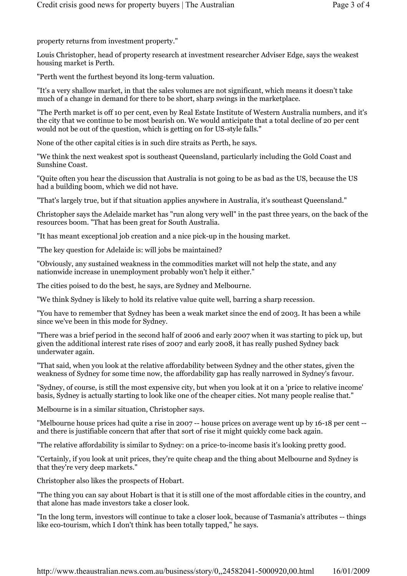property returns from investment property."

Louis Christopher, head of property research at investment researcher Adviser Edge, says the weakest housing market is Perth.

"Perth went the furthest beyond its long-term valuation.

"It's a very shallow market, in that the sales volumes are not significant, which means it doesn't take much of a change in demand for there to be short, sharp swings in the marketplace.

"The Perth market is off 10 per cent, even by Real Estate Institute of Western Australia numbers, and it's the city that we continue to be most bearish on. We would anticipate that a total decline of 20 per cent would not be out of the question, which is getting on for US-style falls."

None of the other capital cities is in such dire straits as Perth, he says.

"We think the next weakest spot is southeast Queensland, particularly including the Gold Coast and Sunshine Coast.

"Quite often you hear the discussion that Australia is not going to be as bad as the US, because the US had a building boom, which we did not have.

"That's largely true, but if that situation applies anywhere in Australia, it's southeast Queensland."

Christopher says the Adelaide market has "run along very well" in the past three years, on the back of the resources boom. "That has been great for South Australia.

"It has meant exceptional job creation and a nice pick-up in the housing market.

"The key question for Adelaide is: will jobs be maintained?

"Obviously, any sustained weakness in the commodities market will not help the state, and any nationwide increase in unemployment probably won't help it either."

The cities poised to do the best, he says, are Sydney and Melbourne.

"We think Sydney is likely to hold its relative value quite well, barring a sharp recession.

"You have to remember that Sydney has been a weak market since the end of 2003. It has been a while since we've been in this mode for Sydney.

"There was a brief period in the second half of 2006 and early 2007 when it was starting to pick up, but given the additional interest rate rises of 2007 and early 2008, it has really pushed Sydney back underwater again.

"That said, when you look at the relative affordability between Sydney and the other states, given the weakness of Sydney for some time now, the affordability gap has really narrowed in Sydney's favour.

"Sydney, of course, is still the most expensive city, but when you look at it on a 'price to relative income' basis, Sydney is actually starting to look like one of the cheaper cities. Not many people realise that."

Melbourne is in a similar situation, Christopher says.

"Melbourne house prices had quite a rise in 2007 -- house prices on average went up by 16-18 per cent - and there is justifiable concern that after that sort of rise it might quickly come back again.

"The relative affordability is similar to Sydney: on a price-to-income basis it's looking pretty good.

"Certainly, if you look at unit prices, they're quite cheap and the thing about Melbourne and Sydney is that they're very deep markets."

Christopher also likes the prospects of Hobart.

"The thing you can say about Hobart is that it is still one of the most affordable cities in the country, and that alone has made investors take a closer look.

"In the long term, investors will continue to take a closer look, because of Tasmania's attributes -- things like eco-tourism, which I don't think has been totally tapped," he says.